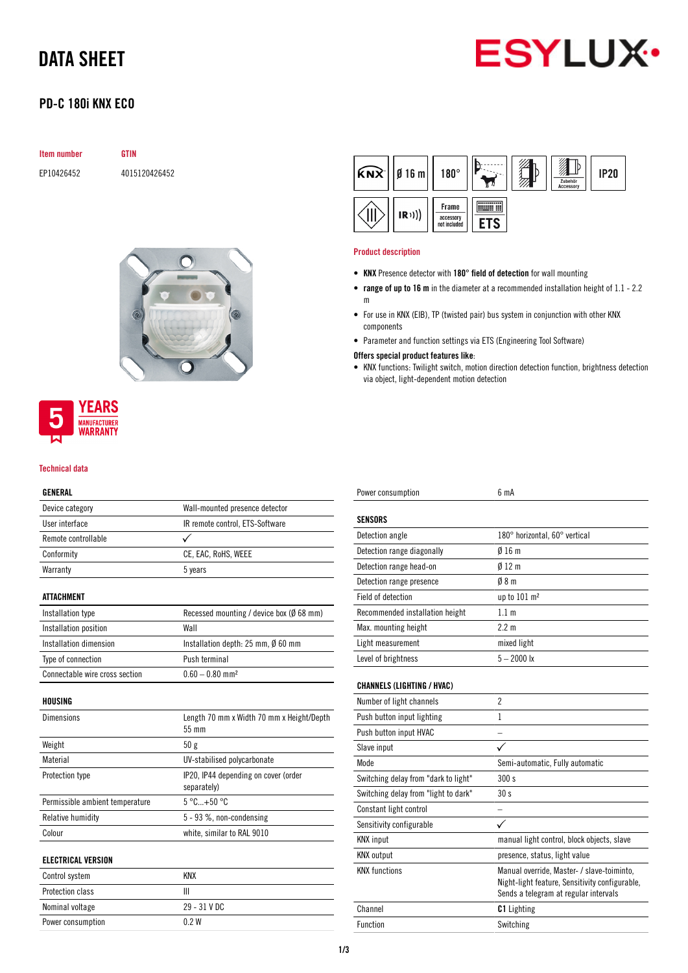# DATA SHEET



## PD-C 180i KNX ECO

| Item number | GTIN          |  |
|-------------|---------------|--|
| EP10426452  | 4015120426452 |  |





### Technical data

### GENERAL

| Device category                 | Wall-mounted presence detector                      |
|---------------------------------|-----------------------------------------------------|
| User interface                  | IR remote control, ETS-Software                     |
| Remote controllable             |                                                     |
| Conformity                      | CE, EAC, RoHS, WEEE                                 |
| Warranty                        | 5 years                                             |
| <b>ATTACHMENT</b>               |                                                     |
| Installation type               | Recessed mounting / device box (Ø 68 mm)            |
| Installation position           | Wall                                                |
| Installation dimension          | Installation depth: $25$ mm, $\emptyset$ 60 mm      |
| Type of connection              | Push terminal                                       |
| Connectable wire cross section  | $0.60 - 0.80$ mm <sup>2</sup>                       |
| HOUSING                         |                                                     |
| <b>Dimensions</b>               | Length 70 mm x Width 70 mm x Height/Depth<br>55 mm  |
| Weight                          | 50g                                                 |
| Material                        | UV-stabilised polycarbonate                         |
| Protection type                 | IP20, IP44 depending on cover (order<br>separately) |
| Permissible ambient temperature | $5^{\circ}$ C +50 $^{\circ}$ C                      |
| Relative humidity               | 5 - 93 %, non-condensing                            |
| Colour                          | white, similar to RAL 9010                          |
| <b>ELECTRICAL VERSION</b>       |                                                     |
| Control system                  | <b>KNX</b>                                          |
| <b>Protection class</b>         | Ш                                                   |
| Nominal voltage                 | 29 - 31 V DC                                        |
| Power consumption               | 0.2W                                                |

| $ \widehat{KNX}   \emptyset 16 m $ | $180^\circ$                        |  | Zubehör<br>Accessory | <b>IP20</b> |
|------------------------------------|------------------------------------|--|----------------------|-------------|
| (R))                               | Frame<br>accessory<br>not included |  |                      |             |

#### Product description

- KNX Presence detector with 180° field of detection for wall mounting
- range of up to 16 m in the diameter at a recommended installation height of 1.1 2.2 m
- For use in KNX (EIB), TP (twisted pair) bus system in conjunction with other KNX components
- Parameter and function settings via ETS (Engineering Tool Software)

### Offers special product features like:

• KNX functions: Twilight switch, motion direction detection function, brightness detection via object, light-dependent motion detection

| Power consumption                    | 6 mA                                                                                                                                  |
|--------------------------------------|---------------------------------------------------------------------------------------------------------------------------------------|
| SENSORS                              |                                                                                                                                       |
| Detection angle                      | 180° horizontal, 60° vertical                                                                                                         |
| Detection range diagonally           | 016m                                                                                                                                  |
| Detection range head-on              | $0/12$ m                                                                                                                              |
| Detection range presence             | 08 <sub>m</sub>                                                                                                                       |
| <b>Field of detection</b>            | up to 101 m <sup>2</sup>                                                                                                              |
| Recommended installation height      | $1.1 \text{ m}$                                                                                                                       |
| Max. mounting height                 | $2.2 \text{ m}$                                                                                                                       |
| Light measurement                    | mixed light                                                                                                                           |
| Level of brightness                  | $5 - 2000$ lx                                                                                                                         |
| <b>CHANNELS (LIGHTING / HVAC)</b>    |                                                                                                                                       |
| Number of light channels             | $\overline{2}$                                                                                                                        |
| Push button input lighting           | 1                                                                                                                                     |
| Push button input HVAC               |                                                                                                                                       |
| Slave input                          |                                                                                                                                       |
| Mode                                 | Semi-automatic, Fully automatic                                                                                                       |
| Switching delay from "dark to light" | 300s                                                                                                                                  |
| Switching delay from "light to dark" | 30 s                                                                                                                                  |
| Constant light control               |                                                                                                                                       |
| Sensitivity configurable             |                                                                                                                                       |
| <b>KNX</b> input                     | manual light control, block objects, slave                                                                                            |
| <b>KNX</b> output                    | presence, status, light value                                                                                                         |
| <b>KNX functions</b>                 | Manual override, Master- / slave-toiminto,<br>Night-light feature, Sensitivity configurable,<br>Sends a telegram at regular intervals |
| Channel                              | <b>C1</b> Lighting                                                                                                                    |
| <b>Function</b>                      | Switching                                                                                                                             |
|                                      |                                                                                                                                       |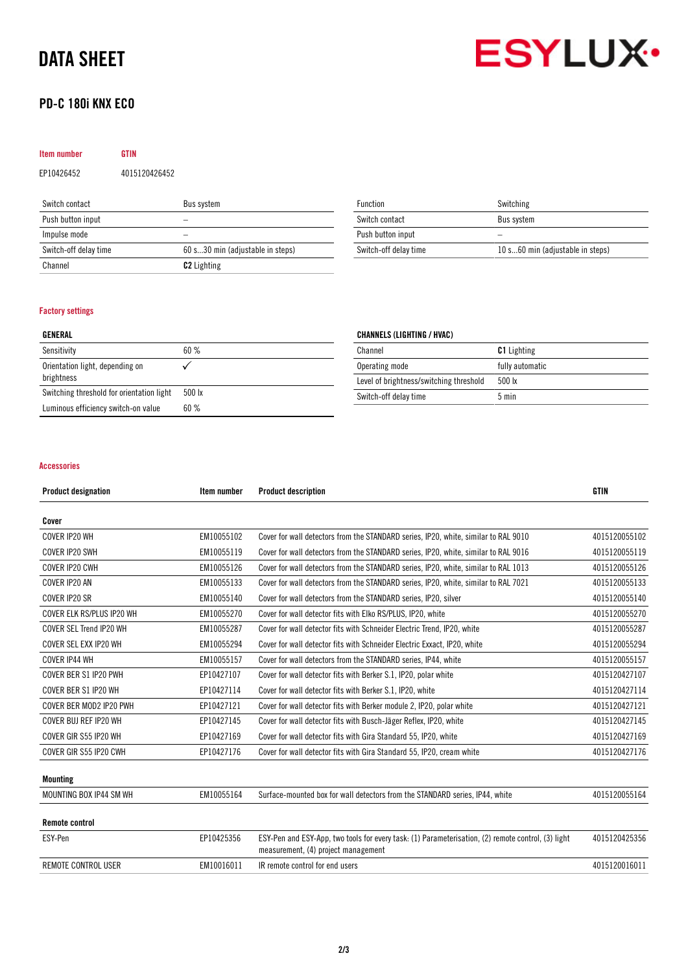# DATA SHEET

## PD-C 180i KNX ECO



## Item number GTIN EP10426452 4015120426452

| Switch contact        | Bus system                       |
|-----------------------|----------------------------------|
| Push button input     |                                  |
| Impulse mode          |                                  |
| Switch-off delay time | 60 s30 min (adjustable in steps) |
| Channel               | <b>C<sub>2</sub></b> Lighting    |

| Function              | Switching                        |
|-----------------------|----------------------------------|
| Switch contact        | Bus system                       |
| Push button input     |                                  |
| Switch-off delay time | 10 s60 min (adjustable in steps) |

### Factory settings

| GENERAL                                       |                 |
|-----------------------------------------------|-----------------|
| Sensitivity                                   | 60%             |
| Orientation light, depending on<br>brightness |                 |
| Switching threshold for orientation light     | $500 \text{lx}$ |
| Luminous efficiency switch-on value           | 60%             |

### CHANNELS (LIGHTING / HVAC)

| Channel                                 | <b>C1</b> Lighting |
|-----------------------------------------|--------------------|
| Operating mode                          | fully automatic    |
| Level of brightness/switching threshold | $500 \text{ lx}$   |
| Switch-off delay time                   | $5 \text{ min}$    |

### Accessories

| <b>Product designation</b> | Item number | <b>Product description</b>                                                                                                                | <b>GTIN</b>   |
|----------------------------|-------------|-------------------------------------------------------------------------------------------------------------------------------------------|---------------|
| Cover                      |             |                                                                                                                                           |               |
| COVER IP20 WH              | EM10055102  | Cover for wall detectors from the STANDARD series, IP20, white, similar to RAL 9010                                                       | 4015120055102 |
| COVER IP20 SWH             | EM10055119  | Cover for wall detectors from the STANDARD series, IP20, white, similar to RAL 9016                                                       | 4015120055119 |
| COVER IP20 CWH             | EM10055126  | Cover for wall detectors from the STANDARD series, IP20, white, similar to RAL 1013                                                       | 4015120055126 |
| COVER IP20 AN              | EM10055133  | Cover for wall detectors from the STANDARD series, IP20, white, similar to RAL 7021                                                       | 4015120055133 |
| COVER IP20 SR              | EM10055140  | Cover for wall detectors from the STANDARD series, IP20, silver                                                                           | 4015120055140 |
| COVER ELK RS/PLUS IP20 WH  | EM10055270  | Cover for wall detector fits with Elko RS/PLUS, IP20, white                                                                               | 4015120055270 |
| COVER SEL Trend IP20 WH    | EM10055287  | Cover for wall detector fits with Schneider Electric Trend, IP20, white                                                                   | 4015120055287 |
| COVER SEL EXX IP20 WH      | EM10055294  | Cover for wall detector fits with Schneider Electric Exxact, IP20, white                                                                  | 4015120055294 |
| COVER IP44 WH              | EM10055157  | Cover for wall detectors from the STANDARD series, IP44, white                                                                            | 4015120055157 |
| COVER BER S1 IP20 PWH      | EP10427107  | Cover for wall detector fits with Berker S.1, IP20, polar white                                                                           | 4015120427107 |
| COVER BER S1 IP20 WH       | EP10427114  | Cover for wall detector fits with Berker S.1, IP20, white                                                                                 | 4015120427114 |
| COVER BER MOD2 IP20 PWH    | EP10427121  | Cover for wall detector fits with Berker module 2, IP20, polar white                                                                      | 4015120427121 |
| COVER BUJ REF IP20 WH      | EP10427145  | Cover for wall detector fits with Busch-Jäger Reflex, IP20, white                                                                         | 4015120427145 |
| COVER GIR S55 IP20 WH      | EP10427169  | Cover for wall detector fits with Gira Standard 55, IP20, white                                                                           | 4015120427169 |
| COVER GIR S55 IP20 CWH     | EP10427176  | Cover for wall detector fits with Gira Standard 55, IP20, cream white                                                                     | 4015120427176 |
| <b>Mounting</b>            |             |                                                                                                                                           |               |
| MOUNTING BOX IP44 SM WH    | EM10055164  | Surface-mounted box for wall detectors from the STANDARD series, IP44, white                                                              | 4015120055164 |
| <b>Remote control</b>      |             |                                                                                                                                           |               |
| ESY-Pen                    | EP10425356  | ESY-Pen and ESY-App, two tools for every task: (1) Parameterisation, (2) remote control, (3) light<br>measurement, (4) project management | 4015120425356 |
| <b>REMOTE CONTROL USER</b> | EM10016011  | IR remote control for end users                                                                                                           | 4015120016011 |